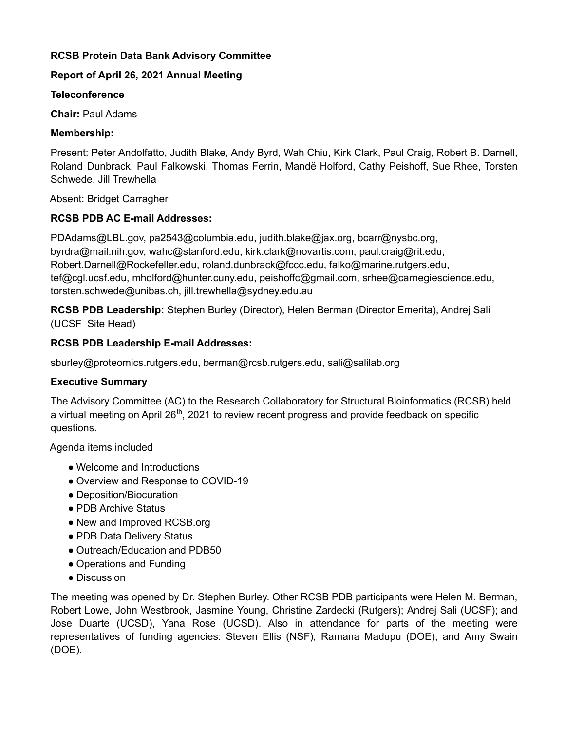# **RCSB Protein Data Bank Advisory Committee**

# **Report of April 26, 2021 Annual Meeting**

### **Teleconference**

**Chair:** Paul Adams

# **Membership:**

Present: Peter Andolfatto, Judith Blake, Andy Byrd, Wah Chiu, Kirk Clark, Paul Craig, Robert B. Darnell, Roland Dunbrack, Paul Falkowski, Thomas Ferrin, Mandë Holford, Cathy Peishoff, Sue Rhee, Torsten Schwede, Jill Trewhella

Absent: Bridget Carragher

# **RCSB PDB AC E-mail Addresses:**

PDAdams@LBL.gov, pa2543@columbia.edu, judith.blake@jax.org, bcarr@nysbc.org, byrdra@mail.nih.gov, wahc@stanford.edu, kirk.clark@novartis.com, paul.craig@rit.edu, Robert.Darnell@Rockefeller.edu, roland.dunbrack@fccc.edu, falko@marine.rutgers.edu, tef@cgl.ucsf.edu, mholford@hunter.cuny.edu, peishoffc@gmail.com, srhee@carnegiescience.edu, torsten.schwede@unibas.ch, jill.trewhella@sydney.edu.au

**RCSB PDB Leadership:** Stephen Burley (Director), Helen Berman (Director Emerita), Andrej Sali (UCSF Site Head)

# **RCSB PDB Leadership E-mail Addresses:**

sburley@proteomics.rutgers.edu, berman@rcsb.rutgers.edu, sali@salilab.org

# **Executive Summary**

The Advisory Committee (AC) to the Research Collaboratory for Structural Bioinformatics (RCSB) held a virtual meeting on April 26<sup>th</sup>, 2021 to review recent progress and provide feedback on specific questions.

Agenda items included

- Welcome and Introductions
- Overview and Response to COVID-19
- Deposition/Biocuration
- PDB Archive Status
- New and Improved RCSB.org
- PDB Data Delivery Status
- Outreach/Education and PDB50
- Operations and Funding
- Discussion

The meeting was opened by Dr. Stephen Burley. Other RCSB PDB participants were Helen M. Berman, Robert Lowe, John Westbrook, Jasmine Young, Christine Zardecki (Rutgers); Andrej Sali (UCSF); and Jose Duarte (UCSD), Yana Rose (UCSD). Also in attendance for parts of the meeting were representatives of funding agencies: Steven Ellis (NSF), Ramana Madupu (DOE), and Amy Swain (DOE).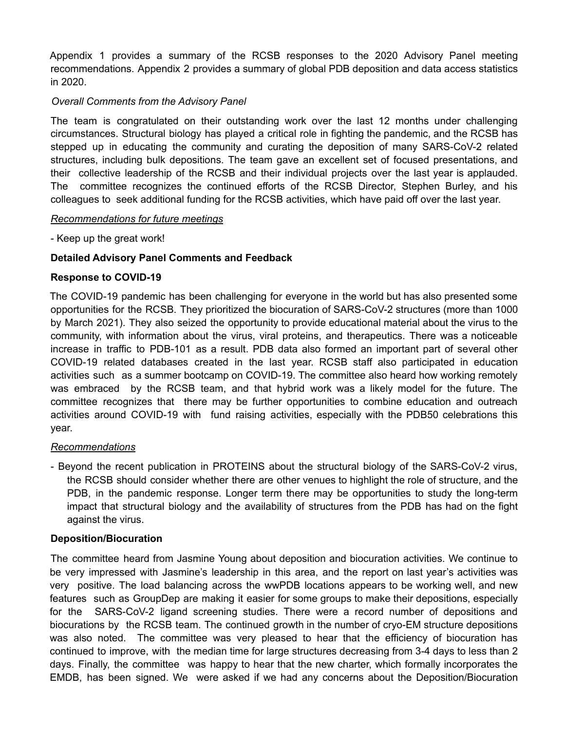Appendix 1 provides a summary of the RCSB responses to the 2020 Advisory Panel meeting recommendations. Appendix 2 provides a summary of global PDB deposition and data access statistics in 2020.

## *Overall Comments from the Advisory Panel*

The team is congratulated on their outstanding work over the last 12 months under challenging circumstances. Structural biology has played a critical role in fighting the pandemic, and the RCSB has stepped up in educating the community and curating the deposition of many SARS-CoV-2 related structures, including bulk depositions. The team gave an excellent set of focused presentations, and their collective leadership of the RCSB and their individual projects over the last year is applauded. The committee recognizes the continued efforts of the RCSB Director, Stephen Burley, and his colleagues to seek additional funding for the RCSB activities, which have paid off over the last year.

### *Recommendations for future meetings*

- Keep up the great work!

## **Detailed Advisory Panel Comments and Feedback**

### **Response to COVID-19**

The COVID-19 pandemic has been challenging for everyone in the world but has also presented some opportunities for the RCSB. They prioritized the biocuration of SARS-CoV-2 structures (more than 1000 by March 2021). They also seized the opportunity to provide educational material about the virus to the community, with information about the virus, viral proteins, and therapeutics. There was a noticeable increase in traffic to PDB-101 as a result. PDB data also formed an important part of several other COVID-19 related databases created in the last year. RCSB staff also participated in education activities such as a summer bootcamp on COVID-19. The committee also heard how working remotely was embraced by the RCSB team, and that hybrid work was a likely model for the future. The committee recognizes that there may be further opportunities to combine education and outreach activities around COVID-19 with fund raising activities, especially with the PDB50 celebrations this year.

### *Recommendations*

- Beyond the recent publication in PROTEINS about the structural biology of the SARS-CoV-2 virus, the RCSB should consider whether there are other venues to highlight the role of structure, and the PDB, in the pandemic response. Longer term there may be opportunities to study the long-term impact that structural biology and the availability of structures from the PDB has had on the fight against the virus.

### **Deposition/Biocuration**

The committee heard from Jasmine Young about deposition and biocuration activities. We continue to be very impressed with Jasmine's leadership in this area, and the report on last year's activities was very positive. The load balancing across the wwPDB locations appears to be working well, and new features such as GroupDep are making it easier for some groups to make their depositions, especially for the SARS-CoV-2 ligand screening studies. There were a record number of depositions and biocurations by the RCSB team. The continued growth in the number of cryo-EM structure depositions was also noted. The committee was very pleased to hear that the efficiency of biocuration has continued to improve, with the median time for large structures decreasing from 3-4 days to less than 2 days. Finally, the committee was happy to hear that the new charter, which formally incorporates the EMDB, has been signed. We were asked if we had any concerns about the Deposition/Biocuration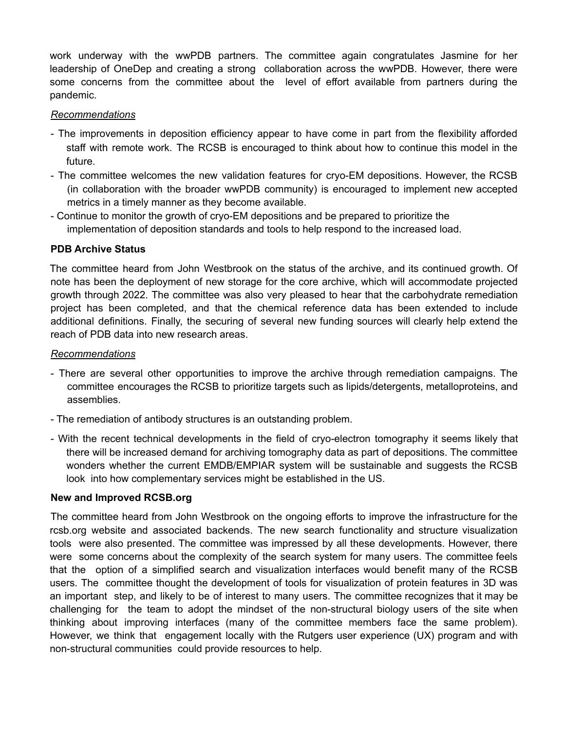work underway with the wwPDB partners. The committee again congratulates Jasmine for her leadership of OneDep and creating a strong collaboration across the wwPDB. However, there were some concerns from the committee about the level of effort available from partners during the pandemic.

### *Recommendations*

- The improvements in deposition efficiency appear to have come in part from the flexibility afforded staff with remote work. The RCSB is encouraged to think about how to continue this model in the future.
- The committee welcomes the new validation features for cryo-EM depositions. However, the RCSB (in collaboration with the broader wwPDB community) is encouraged to implement new accepted metrics in a timely manner as they become available.
- Continue to monitor the growth of cryo-EM depositions and be prepared to prioritize the implementation of deposition standards and tools to help respond to the increased load.

## **PDB Archive Status**

The committee heard from John Westbrook on the status of the archive, and its continued growth. Of note has been the deployment of new storage for the core archive, which will accommodate projected growth through 2022. The committee was also very pleased to hear that the carbohydrate remediation project has been completed, and that the chemical reference data has been extended to include additional definitions. Finally, the securing of several new funding sources will clearly help extend the reach of PDB data into new research areas.

## *Recommendations*

- There are several other opportunities to improve the archive through remediation campaigns. The committee encourages the RCSB to prioritize targets such as lipids/detergents, metalloproteins, and assemblies.
- The remediation of antibody structures is an outstanding problem.
- With the recent technical developments in the field of cryo-electron tomography it seems likely that there will be increased demand for archiving tomography data as part of depositions. The committee wonders whether the current EMDB/EMPIAR system will be sustainable and suggests the RCSB look into how complementary services might be established in the US.

### **New and Improved RCSB.org**

The committee heard from John Westbrook on the ongoing efforts to improve the infrastructure for the rcsb.org website and associated backends. The new search functionality and structure visualization tools were also presented. The committee was impressed by all these developments. However, there were some concerns about the complexity of the search system for many users. The committee feels that the option of a simplified search and visualization interfaces would benefit many of the RCSB users. The committee thought the development of tools for visualization of protein features in 3D was an important step, and likely to be of interest to many users. The committee recognizes that it may be challenging for the team to adopt the mindset of the non-structural biology users of the site when thinking about improving interfaces (many of the committee members face the same problem). However, we think that engagement locally with the Rutgers user experience (UX) program and with non-structural communities could provide resources to help.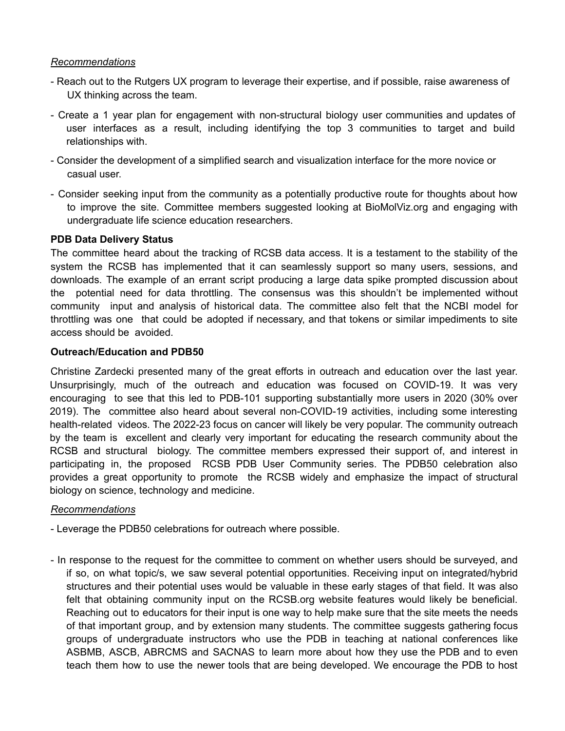### *Recommendations*

- Reach out to the Rutgers UX program to leverage their expertise, and if possible, raise awareness of UX thinking across the team.
- Create a 1 year plan for engagement with non-structural biology user communities and updates of user interfaces as a result, including identifying the top 3 communities to target and build relationships with.
- Consider the development of a simplified search and visualization interface for the more novice or casual user.
- Consider seeking input from the community as a potentially productive route for thoughts about how to improve the site. Committee members suggested looking at BioMolViz.org and engaging with undergraduate life science education researchers.

#### **PDB Data Delivery Status**

The committee heard about the tracking of RCSB data access. It is a testament to the stability of the system the RCSB has implemented that it can seamlessly support so many users, sessions, and downloads. The example of an errant script producing a large data spike prompted discussion about the potential need for data throttling. The consensus was this shouldn't be implemented without community input and analysis of historical data. The committee also felt that the NCBI model for throttling was one that could be adopted if necessary, and that tokens or similar impediments to site access should be avoided.

#### **Outreach/Education and PDB50**

Christine Zardecki presented many of the great efforts in outreach and education over the last year. Unsurprisingly, much of the outreach and education was focused on COVID-19. It was very encouraging to see that this led to PDB-101 supporting substantially more users in 2020 (30% over 2019). The committee also heard about several non-COVID-19 activities, including some interesting health-related videos. The 2022-23 focus on cancer will likely be very popular. The community outreach by the team is excellent and clearly very important for educating the research community about the RCSB and structural biology. The committee members expressed their support of, and interest in participating in, the proposed RCSB PDB User Community series. The PDB50 celebration also provides a great opportunity to promote the RCSB widely and emphasize the impact of structural biology on science, technology and medicine.

#### *Recommendations*

- Leverage the PDB50 celebrations for outreach where possible.

- In response to the request for the committee to comment on whether users should be surveyed, and if so, on what topic/s, we saw several potential opportunities. Receiving input on integrated/hybrid structures and their potential uses would be valuable in these early stages of that field. It was also felt that obtaining community input on the RCSB.org website features would likely be beneficial. Reaching out to educators for their input is one way to help make sure that the site meets the needs of that important group, and by extension many students. The committee suggests gathering focus groups of undergraduate instructors who use the PDB in teaching at national conferences like ASBMB, ASCB, ABRCMS and SACNAS to learn more about how they use the PDB and to even teach them how to use the newer tools that are being developed. We encourage the PDB to host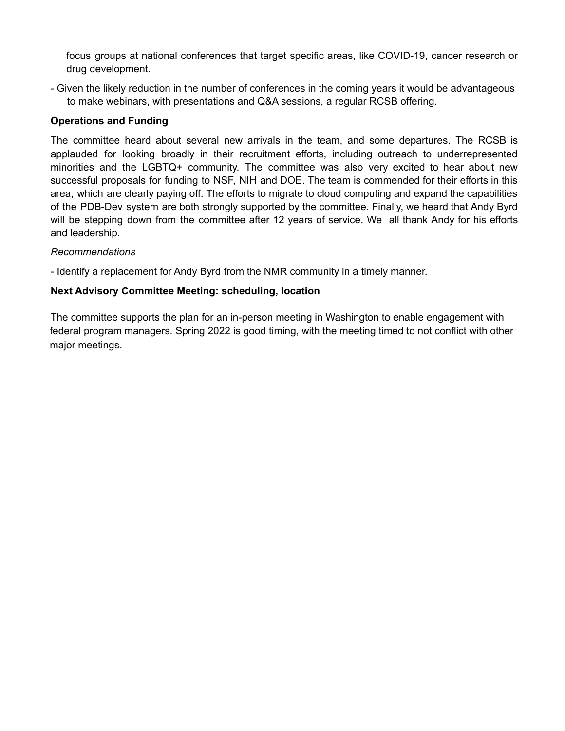focus groups at national conferences that target specific areas, like COVID-19, cancer research or drug development.

- Given the likely reduction in the number of conferences in the coming years it would be advantageous to make webinars, with presentations and Q&A sessions, a regular RCSB offering.

# **Operations and Funding**

The committee heard about several new arrivals in the team, and some departures. The RCSB is applauded for looking broadly in their recruitment efforts, including outreach to underrepresented minorities and the LGBTQ+ community. The committee was also very excited to hear about new successful proposals for funding to NSF, NIH and DOE. The team is commended for their efforts in this area, which are clearly paying off. The efforts to migrate to cloud computing and expand the capabilities of the PDB-Dev system are both strongly supported by the committee. Finally, we heard that Andy Byrd will be stepping down from the committee after 12 years of service. We all thank Andy for his efforts and leadership.

# *Recommendations*

- Identify a replacement for Andy Byrd from the NMR community in a timely manner.

# **Next Advisory Committee Meeting: scheduling, location**

The committee supports the plan for an in-person meeting in Washington to enable engagement with federal program managers. Spring 2022 is good timing, with the meeting timed to not conflict with other major meetings.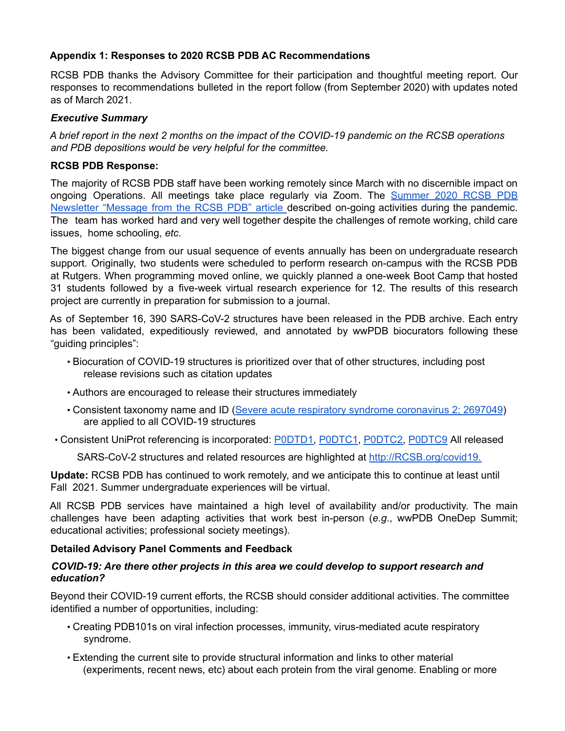# **Appendix 1: Responses to 2020 RCSB PDB AC Recommendations**

RCSB PDB thanks the Advisory Committee for their participation and thoughtful meeting report. Our responses to recommendations bulleted in the report follow (from September 2020) with updates noted as of March 2021.

### *Executive Summary*

A brief report in the next 2 months on the impact of the COVID-19 pandemic on the RCSB operations *and PDB depositions would be very helpful for the committee.*

#### **RCSB PDB Response:**

The majority of RCSB PDB staff have been working remotely since March with no discernible impact on ongoing Operations. All meetings take place regularly via Zoom. The Summer 2020 RCSB PDB Newsletter "Message from the RCSB PDB" article described on-going activities during the pandemic. The team has worked hard and very well together despite the challenges of remote working, child care issues, home schooling, *etc*.

The biggest change from our usual sequence of events annually has been on undergraduate research support. Originally, two students were scheduled to perform research on-campus with the RCSB PDB at Rutgers. When programming moved online, we quickly planned a one-week Boot Camp that hosted 31 students followed by a five-week virtual research experience for 12. The results of this research project are currently in preparation for submission to a journal.

As of September 16, 390 SARS-CoV-2 structures have been released in the PDB archive. Each entry has been validated, expeditiously reviewed, and annotated by wwPDB biocurators following these "guiding principles":

- Biocuration of COVID-19 structures is prioritized over that of other structures, including post release revisions such as citation updates
- Authors are encouraged to release their structures immediately
- Consistent taxonomy name and ID (Severe acute respiratory syndrome coronavirus 2; 2697049) are applied to all COVID-19 structures
- Consistent UniProt referencing is incorporated: **PODTD1, PODTC1, PODTC2, PODTC9** All released

SARS-CoV-2 structures and related resources are highlighted at http://RCSB.org/covid19.

**Update:** RCSB PDB has continued to work remotely, and we anticipate this to continue at least until Fall 2021. Summer undergraduate experiences will be virtual.

All RCSB PDB services have maintained a high level of availability and/or productivity. The main challenges have been adapting activities that work best in-person (*e.g*., wwPDB OneDep Summit; educational activities; professional society meetings).

### **Detailed Advisory Panel Comments and Feedback**

#### *COVID-19: Are there other projects in this area we could develop to support research and education?*

Beyond their COVID-19 current efforts, the RCSB should consider additional activities. The committee identified a number of opportunities, including:

- Creating PDB101s on viral infection processes, immunity, virus-mediated acute respiratory syndrome.
- Extending the current site to provide structural information and links to other material (experiments, recent news, etc) about each protein from the viral genome. Enabling or more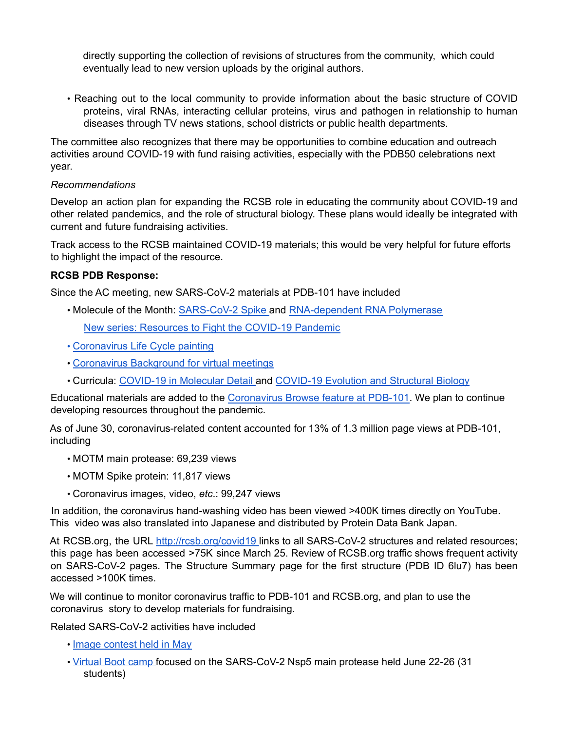directly supporting the collection of revisions of structures from the community, which could eventually lead to new version uploads by the original authors.

• Reaching out to the local community to provide information about the basic structure of COVID proteins, viral RNAs, interacting cellular proteins, virus and pathogen in relationship to human diseases through TV news stations, school districts or public health departments.

The committee also recognizes that there may be opportunities to combine education and outreach activities around COVID-19 with fund raising activities, especially with the PDB50 celebrations next year.

### *Recommendations*

Develop an action plan for expanding the RCSB role in educating the community about COVID-19 and other related pandemics, and the role of structural biology. These plans would ideally be integrated with current and future fundraising activities.

Track access to the RCSB maintained COVID-19 materials; this would be very helpful for future efforts to highlight the impact of the resource.

## **RCSB PDB Response:**

Since the AC meeting, new SARS-CoV-2 materials at PDB-101 have included

• Molecule of the Month: SARS-CoV-2 Spike and RNA-dependent RNA Polymerase

New series: Resources to Fight the COVID-19 Pandemic

- Coronavirus Life Cycle painting
- Coronavirus Background for virtual meetings
- Curricula: COVID-19 in Molecular Detail and COVID-19 Evolution and Structural Biology

Educational materials are added to the Coronavirus Browse feature at PDB-101. We plan to continue developing resources throughout the pandemic.

As of June 30, coronavirus-related content accounted for 13% of 1.3 million page views at PDB-101, including

- MOTM main protease: 69,239 views
- MOTM Spike protein: 11,817 views
- Coronavirus images, video, *etc*.: 99,247 views

In addition, the coronavirus hand-washing video has been viewed >400K times directly on YouTube. This video was also translated into Japanese and distributed by Protein Data Bank Japan.

At RCSB.org, the URL http://rcsb.org/covid19 links to all SARS-CoV-2 structures and related resources; this page has been accessed >75K since March 25. Review of RCSB.org traffic shows frequent activity on SARS-CoV-2 pages. The Structure Summary page for the first structure (PDB ID 6lu7) has been accessed >100K times.

We will continue to monitor coronavirus traffic to PDB-101 and RCSB.org, and plan to use the coronavirus story to develop materials for fundraising.

Related SARS-CoV-2 activities have included

- Image contest held in May
- Virtual Boot camp focused on the SARS-CoV-2 Nsp5 main protease held June 22-26 (31 students)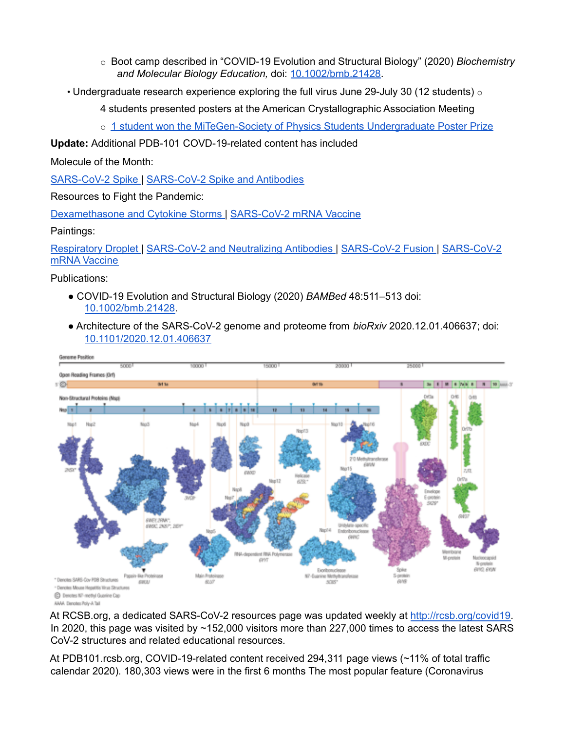- o Boot camp described in "COVID-19 Evolution and Structural Biology" (2020) *Biochemistry and Molecular Biology Education,* doi: 10.1002/bmb.21428.
- Undergraduate research experience exploring the full virus June 29-July 30 (12 students)  $\circ$ 
	- 4 students presented posters at the American Crystallographic Association Meeting
	- o 1 student won the MiTeGen-Society of Physics Students Undergraduate Poster Prize

**Update:** Additional PDB-101 COVD-19-related content has included

Molecule of the Month:

SARS-CoV-2 Spike | SARS-CoV-2 Spike and Antibodies

Resources to Fight the Pandemic:

Dexamethasone and Cytokine Storms | SARS-CoV-2 mRNA Vaccine

Paintings:

Respiratory Droplet | SARS-CoV-2 and Neutralizing Antibodies | SARS-CoV-2 Fusion | SARS-CoV-2 mRNA Vaccine

Publications:

- COVID-19 Evolution and Structural Biology (2020) *BAMBed* 48:511–513 doi: 10.1002/bmb.21428.
- Architecture of the SARS-CoV-2 genome and proteome from *bioRxiv* 2020.12.01.406637; doi: 10.1101/2020.12.01.406637



AAAA Devotes Prito-A Tall

At RCSB.org, a dedicated SARS-CoV-2 resources page was updated weekly at http://rcsb.org/covid19. In 2020, this page was visited by ~152,000 visitors more than 227,000 times to access the latest SARS CoV-2 structures and related educational resources.

At PDB101.rcsb.org, COVID-19-related content received 294,311 page views (~11% of total traffic calendar 2020). 180,303 views were in the first 6 months The most popular feature (Coronavirus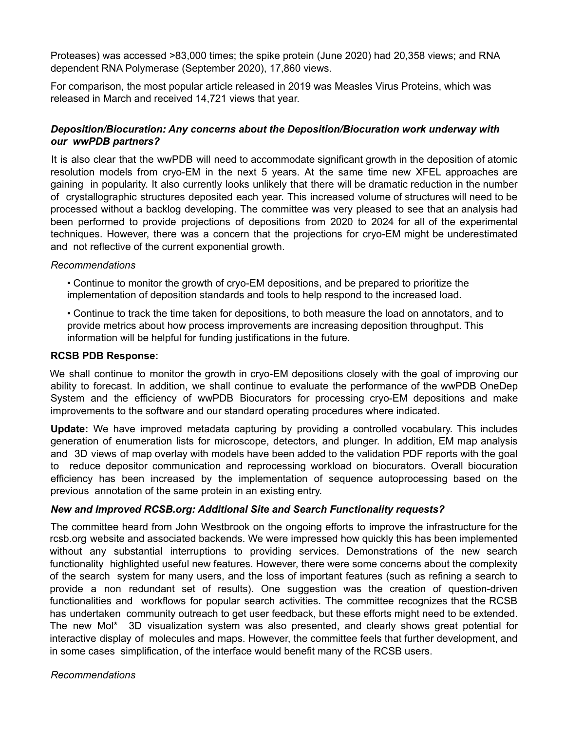Proteases) was accessed >83,000 times; the spike protein (June 2020) had 20,358 views; and RNA dependent RNA Polymerase (September 2020), 17,860 views.

For comparison, the most popular article released in 2019 was Measles Virus Proteins, which was released in March and received 14,721 views that year.

## *Deposition/Biocuration: Any concerns about the Deposition/Biocuration work underway with our wwPDB partners?*

It is also clear that the wwPDB will need to accommodate significant growth in the deposition of atomic resolution models from cryo-EM in the next 5 years. At the same time new XFEL approaches are gaining in popularity. It also currently looks unlikely that there will be dramatic reduction in the number of crystallographic structures deposited each year. This increased volume of structures will need to be processed without a backlog developing. The committee was very pleased to see that an analysis had been performed to provide projections of depositions from 2020 to 2024 for all of the experimental techniques. However, there was a concern that the projections for cryo-EM might be underestimated and not reflective of the current exponential growth.

### *Recommendations*

• Continue to monitor the growth of cryo-EM depositions, and be prepared to prioritize the implementation of deposition standards and tools to help respond to the increased load.

• Continue to track the time taken for depositions, to both measure the load on annotators, and to provide metrics about how process improvements are increasing deposition throughput. This information will be helpful for funding justifications in the future.

#### **RCSB PDB Response:**

We shall continue to monitor the growth in cryo-EM depositions closely with the goal of improving our ability to forecast. In addition, we shall continue to evaluate the performance of the wwPDB OneDep System and the efficiency of wwPDB Biocurators for processing cryo-EM depositions and make improvements to the software and our standard operating procedures where indicated.

**Update:** We have improved metadata capturing by providing a controlled vocabulary. This includes generation of enumeration lists for microscope, detectors, and plunger. In addition, EM map analysis and 3D views of map overlay with models have been added to the validation PDF reports with the goal to reduce depositor communication and reprocessing workload on biocurators. Overall biocuration efficiency has been increased by the implementation of sequence autoprocessing based on the previous annotation of the same protein in an existing entry.

### *New and Improved RCSB.org: Additional Site and Search Functionality requests?*

The committee heard from John Westbrook on the ongoing efforts to improve the infrastructure for the rcsb.org website and associated backends. We were impressed how quickly this has been implemented without any substantial interruptions to providing services. Demonstrations of the new search functionality highlighted useful new features. However, there were some concerns about the complexity of the search system for many users, and the loss of important features (such as refining a search to provide a non redundant set of results). One suggestion was the creation of question-driven functionalities and workflows for popular search activities. The committee recognizes that the RCSB has undertaken community outreach to get user feedback, but these efforts might need to be extended. The new Mol\* 3D visualization system was also presented, and clearly shows great potential for interactive display of molecules and maps. However, the committee feels that further development, and in some cases simplification, of the interface would benefit many of the RCSB users.

*Recommendations*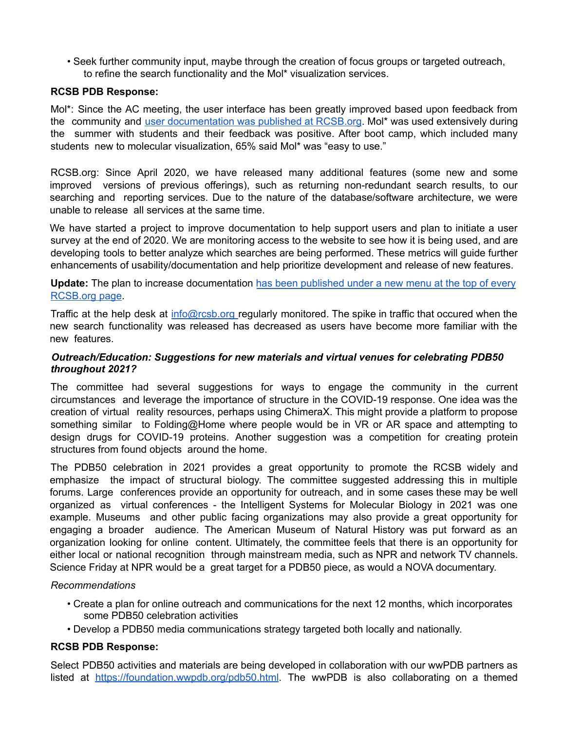• Seek further community input, maybe through the creation of focus groups or targeted outreach, to refine the search functionality and the Mol\* visualization services.

#### **RCSB PDB Response:**

Mol\*: Since the AC meeting, the user interface has been greatly improved based upon feedback from the community and user documentation was published at RCSB.org. Mol<sup>\*</sup> was used extensively during the summer with students and their feedback was positive. After boot camp, which included many students new to molecular visualization, 65% said Mol\* was "easy to use."

RCSB.org: Since April 2020, we have released many additional features (some new and some improved versions of previous offerings), such as returning non-redundant search results, to our searching and reporting services. Due to the nature of the database/software architecture, we were unable to release all services at the same time.

We have started a project to improve documentation to help support users and plan to initiate a user survey at the end of 2020. We are monitoring access to the website to see how it is being used, and are developing tools to better analyze which searches are being performed. These metrics will guide further enhancements of usability/documentation and help prioritize development and release of new features.

Update: The plan to increase documentation has been published under a new menu at the top of every RCSB.org page.

Traffic at the help desk at info@rcsb.org regularly monitored. The spike in traffic that occured when the new search functionality was released has decreased as users have become more familiar with the new features.

#### *Outreach/Education: Suggestions for new materials and virtual venues for celebrating PDB50 throughout 2021?*

The committee had several suggestions for ways to engage the community in the current circumstances and leverage the importance of structure in the COVID-19 response. One idea was the creation of virtual reality resources, perhaps using ChimeraX. This might provide a platform to propose something similar to Folding@Home where people would be in VR or AR space and attempting to design drugs for COVID-19 proteins. Another suggestion was a competition for creating protein structures from found objects around the home.

The PDB50 celebration in 2021 provides a great opportunity to promote the RCSB widely and emphasize the impact of structural biology. The committee suggested addressing this in multiple forums. Large conferences provide an opportunity for outreach, and in some cases these may be well organized as virtual conferences - the Intelligent Systems for Molecular Biology in 2021 was one example. Museums and other public facing organizations may also provide a great opportunity for engaging a broader audience. The American Museum of Natural History was put forward as an organization looking for online content. Ultimately, the committee feels that there is an opportunity for either local or national recognition through mainstream media, such as NPR and network TV channels. Science Friday at NPR would be a great target for a PDB50 piece, as would a NOVA documentary.

#### *Recommendations*

- Create a plan for online outreach and communications for the next 12 months, which incorporates some PDB50 celebration activities
- Develop a PDB50 media communications strategy targeted both locally and nationally.

#### **RCSB PDB Response:**

Select PDB50 activities and materials are being developed in collaboration with our wwPDB partners as listed at https://foundation.wwpdb.org/pdb50.html. The wwPDB is also collaborating on a themed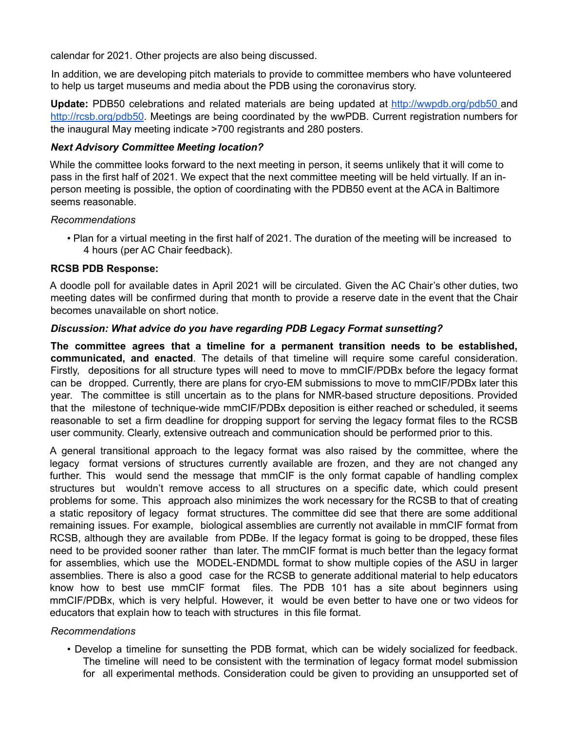calendar for 2021. Other projects are also being discussed.

In addition, we are developing pitch materials to provide to committee members who have volunteered to help us target museums and media about the PDB using the coronavirus story.

**Update:** PDB50 celebrations and related materials are being updated at http://wwpdb.org/pdb50 and http://rcsb.org/pdb50. Meetings are being coordinated by the wwPDB. Current registration numbers for the inaugural May meeting indicate >700 registrants and 280 posters.

### *Next Advisory Committee Meeting location?*

While the committee looks forward to the next meeting in person, it seems unlikely that it will come to pass in the first half of 2021. We expect that the next committee meeting will be held virtually. If an inperson meeting is possible, the option of coordinating with the PDB50 event at the ACA in Baltimore seems reasonable.

#### *Recommendations*

• Plan for a virtual meeting in the first half of 2021. The duration of the meeting will be increased to 4 hours (per AC Chair feedback).

#### **RCSB PDB Response:**

A doodle poll for available dates in April 2021 will be circulated. Given the AC Chair's other duties, two meeting dates will be confirmed during that month to provide a reserve date in the event that the Chair becomes unavailable on short notice.

### *Discussion: What advice do you have regarding PDB Legacy Format sunsetting?*

**The committee agrees that a timeline for a permanent transition needs to be established, communicated, and enacted**. The details of that timeline will require some careful consideration. Firstly, depositions for all structure types will need to move to mmCIF/PDBx before the legacy format can be dropped. Currently, there are plans for cryo-EM submissions to move to mmCIF/PDBx later this year. The committee is still uncertain as to the plans for NMR-based structure depositions. Provided that the milestone of technique-wide mmCIF/PDBx deposition is either reached or scheduled, it seems reasonable to set a firm deadline for dropping support for serving the legacy format files to the RCSB user community. Clearly, extensive outreach and communication should be performed prior to this.

A general transitional approach to the legacy format was also raised by the committee, where the legacy format versions of structures currently available are frozen, and they are not changed any further. This would send the message that mmCIF is the only format capable of handling complex structures but wouldn't remove access to all structures on a specific date, which could present problems for some. This approach also minimizes the work necessary for the RCSB to that of creating a static repository of legacy format structures. The committee did see that there are some additional remaining issues. For example, biological assemblies are currently not available in mmCIF format from RCSB, although they are available from PDBe. If the legacy format is going to be dropped, these files need to be provided sooner rather than later. The mmCIF format is much better than the legacy format for assemblies, which use the MODEL-ENDMDL format to show multiple copies of the ASU in larger assemblies. There is also a good case for the RCSB to generate additional material to help educators know how to best use mmCIF format files. The PDB 101 has a site about beginners using mmCIF/PDBx, which is very helpful. However, it would be even better to have one or two videos for educators that explain how to teach with structures in this file format.

### *Recommendations*

• Develop a timeline for sunsetting the PDB format, which can be widely socialized for feedback. The timeline will need to be consistent with the termination of legacy format model submission for all experimental methods. Consideration could be given to providing an unsupported set of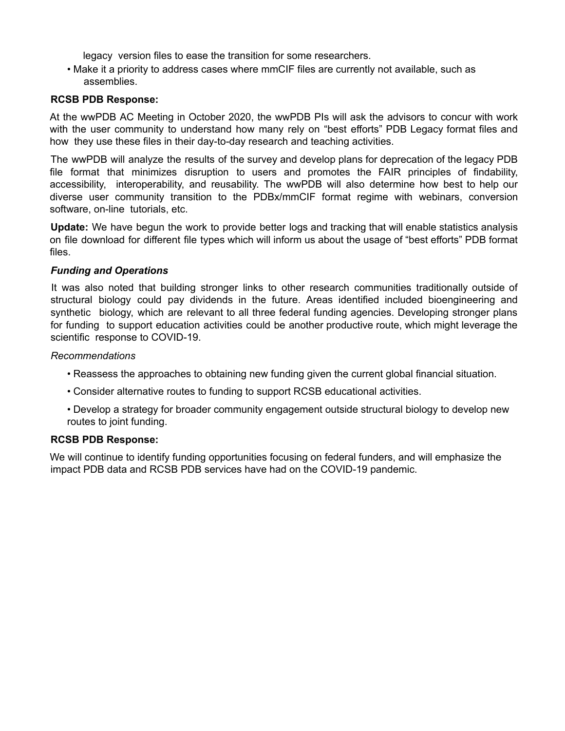legacy version files to ease the transition for some researchers.

• Make it a priority to address cases where mmCIF files are currently not available, such as assemblies.

### **RCSB PDB Response:**

At the wwPDB AC Meeting in October 2020, the wwPDB PIs will ask the advisors to concur with work with the user community to understand how many rely on "best efforts" PDB Legacy format files and how they use these files in their day-to-day research and teaching activities.

The wwPDB will analyze the results of the survey and develop plans for deprecation of the legacy PDB file format that minimizes disruption to users and promotes the FAIR principles of findability, accessibility, interoperability, and reusability. The wwPDB will also determine how best to help our diverse user community transition to the PDBx/mmCIF format regime with webinars, conversion software, on-line tutorials, etc.

**Update:** We have begun the work to provide better logs and tracking that will enable statistics analysis on file download for different file types which will inform us about the usage of "best efforts" PDB format files.

#### *Funding and Operations*

It was also noted that building stronger links to other research communities traditionally outside of structural biology could pay dividends in the future. Areas identified included bioengineering and synthetic biology, which are relevant to all three federal funding agencies. Developing stronger plans for funding to support education activities could be another productive route, which might leverage the scientific response to COVID-19.

#### *Recommendations*

- Reassess the approaches to obtaining new funding given the current global financial situation.
- Consider alternative routes to funding to support RCSB educational activities.
- Develop a strategy for broader community engagement outside structural biology to develop new routes to joint funding.

### **RCSB PDB Response:**

We will continue to identify funding opportunities focusing on federal funders, and will emphasize the impact PDB data and RCSB PDB services have had on the COVID-19 pandemic.